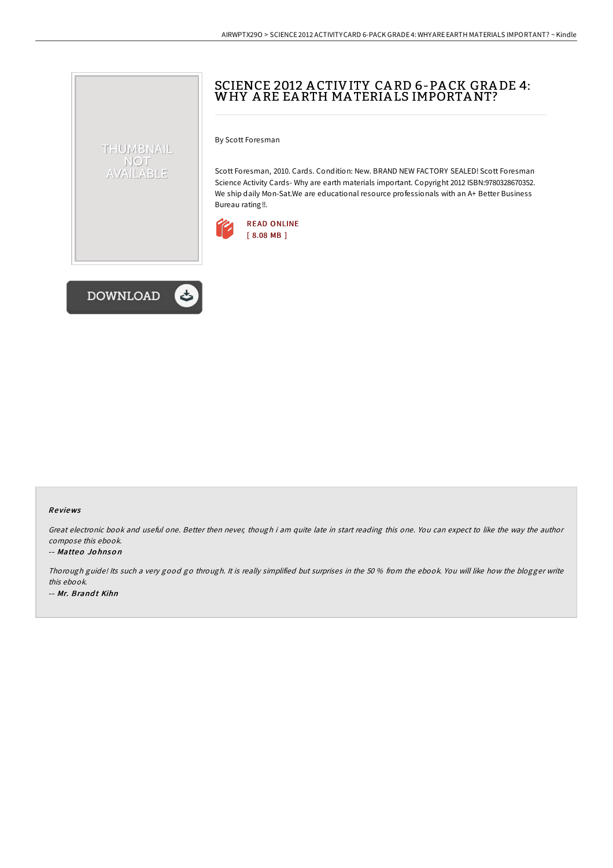# SCIENCE 2012 A CTIVITY CA RD 6-PA CK GRA DE 4: WHY A RE EA RTH MA TERIA LS IMPORTANT?

By Scott Foresman

Scott Foresman, 2010. Cards. Condition: New. BRAND NEW FACTORY SEALED! Scott Foresman Science Activity Cards- Why are earth materials important. Copyright 2012 ISBN:9780328670352. We ship daily Mon-Sat.We are educational resource professionals with an A+ Better Business Bureau rating!!.





THUMBNAIL NOT AVAILABLE

### Re views

Great electronic book and useful one. Better then never, though i am quite late in start reading this one. You can expect to like the way the author compose this ebook.

#### -- Matteo Jo hnso <sup>n</sup>

Thorough guide! Its such <sup>a</sup> very good go through. It is really simplified but surprises in the 50 % from the ebook. You will like how the blogger write this ebook. -- Mr. Brandt Kihn